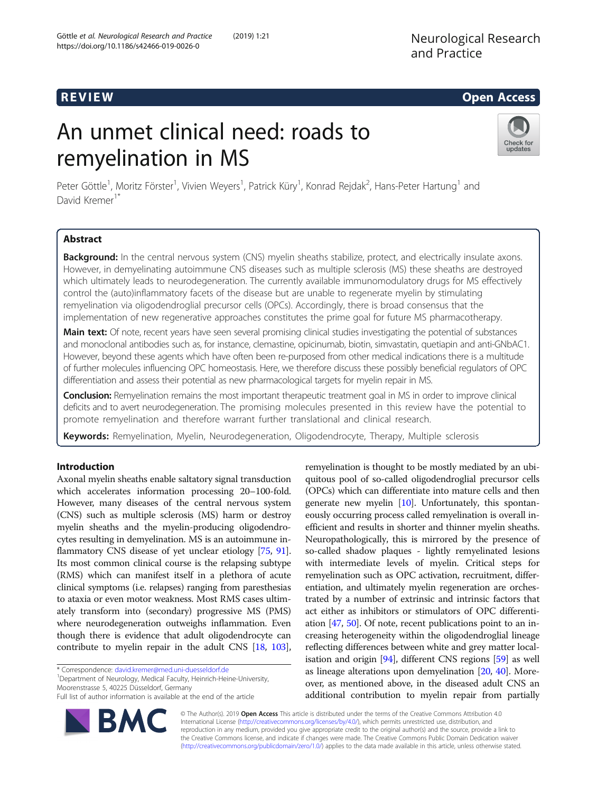# R EVI EW Open Access

# An unmet clinical need: roads to remyelination in MS



Peter Göttle<sup>1</sup>, Moritz Förster<sup>1</sup>, Vivien Weyers<sup>1</sup>, Patrick Küry<sup>1</sup>, Konrad Rejdak<sup>2</sup>, Hans-Peter Hartung<sup>1</sup> and David Kremer<sup>1\*</sup>

# Abstract

Background: In the central nervous system (CNS) myelin sheaths stabilize, protect, and electrically insulate axons. However, in demyelinating autoimmune CNS diseases such as multiple sclerosis (MS) these sheaths are destroyed which ultimately leads to neurodegeneration. The currently available immunomodulatory drugs for MS effectively control the (auto)inflammatory facets of the disease but are unable to regenerate myelin by stimulating remyelination via oligodendroglial precursor cells (OPCs). Accordingly, there is broad consensus that the implementation of new regenerative approaches constitutes the prime goal for future MS pharmacotherapy.

Main text: Of note, recent years have seen several promising clinical studies investigating the potential of substances and monoclonal antibodies such as, for instance, clemastine, opicinumab, biotin, simvastatin, quetiapin and anti-GNbAC1. However, beyond these agents which have often been re-purposed from other medical indications there is a multitude of further molecules influencing OPC homeostasis. Here, we therefore discuss these possibly beneficial regulators of OPC differentiation and assess their potential as new pharmacological targets for myelin repair in MS.

Conclusion: Remyelination remains the most important therapeutic treatment goal in MS in order to improve clinical deficits and to avert neurodegeneration. The promising molecules presented in this review have the potential to promote remyelination and therefore warrant further translational and clinical research.

Keywords: Remyelination, Myelin, Neurodegeneration, Oligodendrocyte, Therapy, Multiple sclerosis

# Introduction

Axonal myelin sheaths enable saltatory signal transduction which accelerates information processing 20–100-fold. However, many diseases of the central nervous system (CNS) such as multiple sclerosis (MS) harm or destroy myelin sheaths and the myelin-producing oligodendrocytes resulting in demyelination. MS is an autoimmune in-flammatory CNS disease of yet unclear etiology [\[75,](#page-10-0) [91](#page-10-0)]. Its most common clinical course is the relapsing subtype (RMS) which can manifest itself in a plethora of acute clinical symptoms (i.e. relapses) ranging from paresthesias to ataxia or even motor weakness. Most RMS cases ultimately transform into (secondary) progressive MS (PMS) where neurodegeneration outweighs inflammation. Even though there is evidence that adult oligodendrocyte can contribute to myelin repair in the adult CNS [[18](#page-9-0), [103](#page-11-0)],

Department of Neurology, Medical Faculty, Heinrich-Heine-University, Moorenstrasse 5, 40225 Düsseldorf, Germany

Full list of author information is available at the end of the article



remyelination is thought to be mostly mediated by an ubiquitous pool of so-called oligodendroglial precursor cells (OPCs) which can differentiate into mature cells and then generate new myelin  $[10]$  $[10]$ . Unfortunately, this spontaneously occurring process called remyelination is overall inefficient and results in shorter and thinner myelin sheaths. Neuropathologically, this is mirrored by the presence of so-called shadow plaques - lightly remyelinated lesions with intermediate levels of myelin. Critical steps for remyelination such as OPC activation, recruitment, differentiation, and ultimately myelin regeneration are orchestrated by a number of extrinsic and intrinsic factors that act either as inhibitors or stimulators of OPC differentiation [\[47,](#page-9-0) [50](#page-9-0)]. Of note, recent publications point to an increasing heterogeneity within the oligodendroglial lineage reflecting differences between white and grey matter localisation and origin [\[94\]](#page-11-0), different CNS regions [\[59\]](#page-10-0) as well as lineage alterations upon demyelination [[20](#page-9-0), [40\]](#page-9-0). Moreover, as mentioned above, in the diseased adult CNS an additional contribution to myelin repair from partially

© The Author(s). 2019 Open Access This article is distributed under the terms of the Creative Commons Attribution 4.0 International License [\(http://creativecommons.org/licenses/by/4.0/](http://creativecommons.org/licenses/by/4.0/)), which permits unrestricted use, distribution, and reproduction in any medium, provided you give appropriate credit to the original author(s) and the source, provide a link to the Creative Commons license, and indicate if changes were made. The Creative Commons Public Domain Dedication waiver [\(http://creativecommons.org/publicdomain/zero/1.0/](http://creativecommons.org/publicdomain/zero/1.0/)) applies to the data made available in this article, unless otherwise stated.

<sup>\*</sup> Correspondence: [david.kremer@med.uni-duesseldorf.de](mailto:david.kremer@med.uni-duesseldorf.de) <sup>1</sup>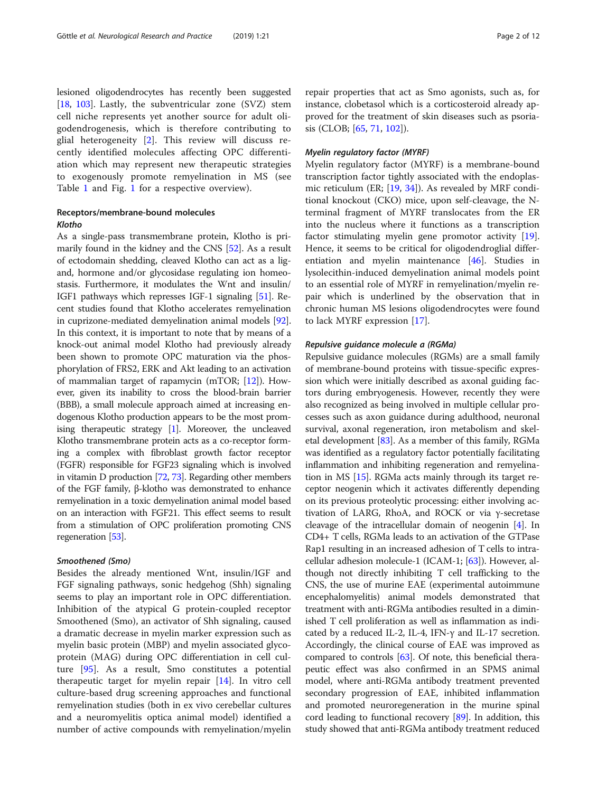lesioned oligodendrocytes has recently been suggested [[18](#page-9-0), [103](#page-11-0)]. Lastly, the subventricular zone (SVZ) stem cell niche represents yet another source for adult oligodendrogenesis, which is therefore contributing to glial heterogeneity [\[2](#page-8-0)]. This review will discuss recently identified molecules affecting OPC differentiation which may represent new therapeutic strategies to exogenously promote remyelination in MS (see Table [1](#page-2-0) and Fig. [1](#page-5-0) for a respective overview).

# Receptors/membrane-bound molecules Klotho

As a single-pass transmembrane protein, Klotho is primarily found in the kidney and the CNS [\[52\]](#page-9-0). As a result of ectodomain shedding, cleaved Klotho can act as a ligand, hormone and/or glycosidase regulating ion homeostasis. Furthermore, it modulates the Wnt and insulin/ IGF1 pathways which represses IGF-1 signaling [\[51\]](#page-9-0). Recent studies found that Klotho accelerates remyelination in cuprizone-mediated demyelination animal models [[92](#page-11-0)]. In this context, it is important to note that by means of a knock-out animal model Klotho had previously already been shown to promote OPC maturation via the phosphorylation of FRS2, ERK and Akt leading to an activation of mammalian target of rapamycin (mTOR; [\[12\]](#page-8-0)). However, given its inability to cross the blood-brain barrier (BBB), a small molecule approach aimed at increasing endogenous Klotho production appears to be the most promising therapeutic strategy [[1\]](#page-8-0). Moreover, the uncleaved Klotho transmembrane protein acts as a co-receptor forming a complex with fibroblast growth factor receptor (FGFR) responsible for FGF23 signaling which is involved in vitamin D production [[72,](#page-10-0) [73\]](#page-10-0). Regarding other members of the FGF family, β-klotho was demonstrated to enhance remyelination in a toxic demyelination animal model based on an interaction with FGF21. This effect seems to result from a stimulation of OPC proliferation promoting CNS regeneration [\[53\]](#page-9-0).

# Smoothened (Smo)

Besides the already mentioned Wnt, insulin/IGF and FGF signaling pathways, sonic hedgehog (Shh) signaling seems to play an important role in OPC differentiation. Inhibition of the atypical G protein-coupled receptor Smoothened (Smo), an activator of Shh signaling, caused a dramatic decrease in myelin marker expression such as myelin basic protein (MBP) and myelin associated glycoprotein (MAG) during OPC differentiation in cell culture [\[95](#page-11-0)]. As a result, Smo constitutes a potential therapeutic target for myelin repair [\[14](#page-9-0)]. In vitro cell culture-based drug screening approaches and functional remyelination studies (both in ex vivo cerebellar cultures and a neuromyelitis optica animal model) identified a number of active compounds with remyelination/myelin

repair properties that act as Smo agonists, such as, for instance, clobetasol which is a corticosteroid already approved for the treatment of skin diseases such as psoria $sis$  (CLOB; [[65,](#page-10-0) [71,](#page-10-0) [102](#page-11-0)]).

# Myelin regulatory factor (MYRF)

Myelin regulatory factor (MYRF) is a membrane-bound transcription factor tightly associated with the endoplasmic reticulum (ER; [\[19,](#page-9-0) [34\]](#page-9-0)). As revealed by MRF conditional knockout (CKO) mice, upon self-cleavage, the Nterminal fragment of MYRF translocates from the ER into the nucleus where it functions as a transcription factor stimulating myelin gene promotor activity [\[19](#page-9-0)]. Hence, it seems to be critical for oligodendroglial differentiation and myelin maintenance [\[46](#page-9-0)]. Studies in lysolecithin-induced demyelination animal models point to an essential role of MYRF in remyelination/myelin repair which is underlined by the observation that in chronic human MS lesions oligodendrocytes were found to lack MYRF expression [[17\]](#page-9-0).

# Repulsive guidance molecule a (RGMa)

Repulsive guidance molecules (RGMs) are a small family of membrane-bound proteins with tissue-specific expression which were initially described as axonal guiding factors during embryogenesis. However, recently they were also recognized as being involved in multiple cellular processes such as axon guidance during adulthood, neuronal survival, axonal regeneration, iron metabolism and skeletal development [[83](#page-10-0)]. As a member of this family, RGMa was identified as a regulatory factor potentially facilitating inflammation and inhibiting regeneration and remyelination in MS [[15](#page-9-0)]. RGMa acts mainly through its target receptor neogenin which it activates differently depending on its previous proteolytic processing: either involving activation of LARG, RhoA, and ROCK or via γ-secretase cleavage of the intracellular domain of neogenin [[4](#page-8-0)]. In CD4+ T cells, RGMa leads to an activation of the GTPase Rap1 resulting in an increased adhesion of T cells to intracellular adhesion molecule-1 (ICAM-1; [\[63](#page-10-0)]). However, although not directly inhibiting T cell trafficking to the CNS, the use of murine EAE (experimental autoimmune encephalomyelitis) animal models demonstrated that treatment with anti-RGMa antibodies resulted in a diminished T cell proliferation as well as inflammation as indicated by a reduced IL-2, IL-4, IFN-γ and IL-17 secretion. Accordingly, the clinical course of EAE was improved as compared to controls [\[63\]](#page-10-0). Of note, this beneficial therapeutic effect was also confirmed in an SPMS animal model, where anti-RGMa antibody treatment prevented secondary progression of EAE, inhibited inflammation and promoted neuroregeneration in the murine spinal cord leading to functional recovery [[89\]](#page-10-0). In addition, this study showed that anti-RGMa antibody treatment reduced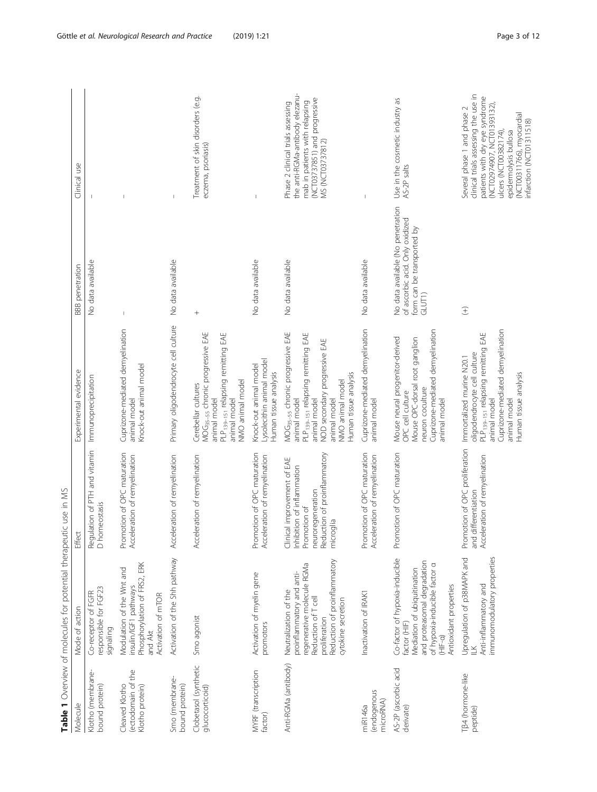<span id="page-2-0"></span>

|                                                         | Table 1 Overview of molecules for potential therapeutic use in MS                                                                                                                    |                                                                                                                                             |                                                                                                                                                                                                                              |                                                                                                              |                                                                                                                                                                                                                                                 |
|---------------------------------------------------------|--------------------------------------------------------------------------------------------------------------------------------------------------------------------------------------|---------------------------------------------------------------------------------------------------------------------------------------------|------------------------------------------------------------------------------------------------------------------------------------------------------------------------------------------------------------------------------|--------------------------------------------------------------------------------------------------------------|-------------------------------------------------------------------------------------------------------------------------------------------------------------------------------------------------------------------------------------------------|
| Molecule                                                | Mode of action                                                                                                                                                                       | Effect                                                                                                                                      | Experimental evidence                                                                                                                                                                                                        | <b>BBB</b> penetration                                                                                       | Clinical use                                                                                                                                                                                                                                    |
| Klotho (membrane-<br>bound protein)                     | Co-receptor of FGFR<br>responsible for FGF23<br>signaling                                                                                                                            | Regulation of PTH and vitamin<br>D homeostasis                                                                                              | Immunoprecipitation                                                                                                                                                                                                          | No data available                                                                                            |                                                                                                                                                                                                                                                 |
| (ectodomain of the<br>Cleaved Klotho<br>Klotho protein) | Phosphorylation of FRS2, ERK<br>Modulation of the Wnt and<br>insulin/IGF1 pathways<br>Activation of mTOR<br>and Akt                                                                  | Promotion of OPC maturation<br>Acceleration of remyelination                                                                                | Cuprizone-mediated demyelination<br>Knock-out animal model<br>animal model                                                                                                                                                   | $\overline{1}$                                                                                               |                                                                                                                                                                                                                                                 |
| Smo (membrane-<br>bound protein)                        | Activation of the Shh pathway                                                                                                                                                        | Acceleration of remyelination                                                                                                               | Primary oligodendrocyte cell culture                                                                                                                                                                                         | No data available                                                                                            |                                                                                                                                                                                                                                                 |
| Clobetasol (synthetic<br>glucocorticoid)                | Smo agonist                                                                                                                                                                          | Acceleration of remyelination                                                                                                               | MOG <sub>35-55</sub> chronic progressive EAE<br>PLP <sub>139-151</sub> relapsing remitting EAE<br>NMO animal model<br>Cerebellar cultures<br>animal model<br>animal model                                                    | $^{+}$                                                                                                       | Treatment of skin disorders (e.g.<br>eczema, psoriasis)                                                                                                                                                                                         |
| MYRF (transcription<br>factor)                          | Activation of myelin gene<br>promotors                                                                                                                                               | Promotion of OPC maturation<br>Acceleration of remyelination                                                                                | Lysolecithin animal model<br>Knock-out animal model<br>Human tissue analysis                                                                                                                                                 | No data available                                                                                            |                                                                                                                                                                                                                                                 |
| Anti-RGMa (antibody)                                    | Reduction of proinflammatory<br>regenerative molecule RGMa<br>proinflammatory and anti-<br>Neutralization of the<br>Reduction of T cell<br>cytokine secretion<br>proliferation       | Reduction of proinflammatory<br>Clinical improvement of EAE<br>Inhibition of inflammation<br>neuroregeneration<br>Promotion of<br>microglia | MOG <sub>35-55</sub> chronic progressive EAE<br>PLP <sub>139-151</sub> relapsing remitting EAE<br>NOD secondary progressive EAE<br>Human tissue analysis<br>NMO animal model<br>animal model<br>animal model<br>animal model | No data available                                                                                            | the anti-RGMa-antibody elezanu-<br>(NCT03737851) and progressive<br>mab in patients with relapsing<br>Phase 2 clinical trials assessing<br>MS (NCT03737812)                                                                                     |
| (endogenous<br>microRNA)<br>miR146a                     | Inactivation of IRAK1                                                                                                                                                                | Promotion of OPC maturation<br>Acceleration of remyelination                                                                                | Cuprizone-mediated demyelination<br>animal model                                                                                                                                                                             | No data available                                                                                            |                                                                                                                                                                                                                                                 |
| AS-2P (ascorbic acid<br>derivate)                       | Co-factor of hypoxia-inducible<br>and proteasomal degradation<br>of hypoxia-inducible factor a<br>Mediation of ubiquitination<br>Antioxidant properties<br>factor (HIF)<br>$(HIF-d)$ | Promotion of OPC maturation                                                                                                                 | Cuprizone-mediated demyelination<br>Mouse neural progenitor-derived<br>Mouse OPC-dorsal root ganglion<br>neuron coculture<br>OPC cell culture<br>animal model                                                                | No data available (No penetration<br>of ascorbic acid. Only oxidized<br>form can be transported by<br>GLUTI) | Use in the cosmetic industry as<br>AS-2P salts                                                                                                                                                                                                  |
| TB4 (hormone-like<br>peptide)                           | Upregulation of p38MAPK and<br>immunomodulatory properties<br>Anti-inflammatory and                                                                                                  | Promotion of OPC proliferation<br>Acceleration of remyelination<br>and differentiation                                                      | Cuprizone-mediated demyelination<br>PLP <sub>139-151</sub> relapsing remitting EAE<br>oligodendrocyte cell culture<br>Immortalized murine N20.1<br>Human tissue analysis<br>animal model<br>animal model                     | $\widehat{\pm}$                                                                                              | clinical trials assessing the use in<br>patients with dry eye syndrome<br>(NCT02974907, NCT01393132),<br>Several phase 1 and phase 2<br>(NCT00311766), myocardial<br>infarction (NCT01311518)<br>ulcers (NCT00382174),<br>epidermolysis bullosa |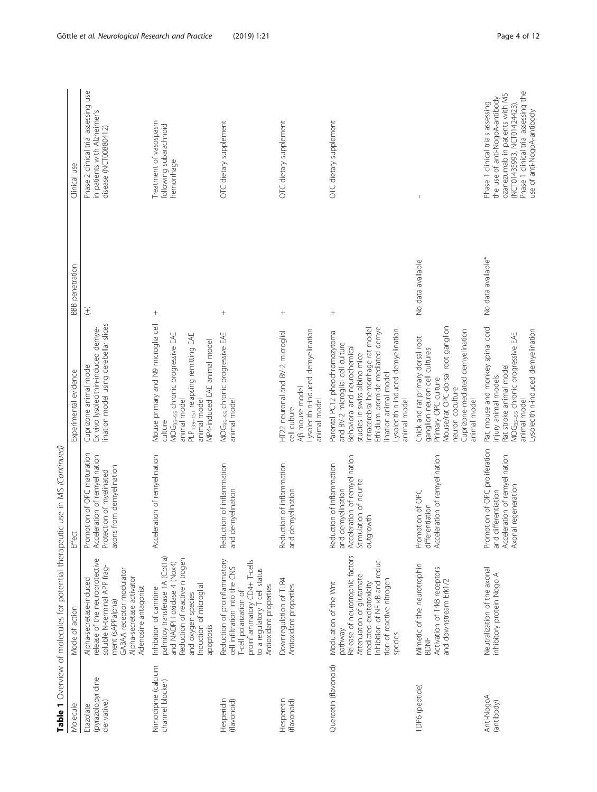|                                               |                                                                                                                                                                                                       | Table 1 Overview of molecules for potential therapeutic use in MS (Continued)                                           |                                                                                                                                                                                                                                                                                            |                        |                                                                                                                                                                                                           |
|-----------------------------------------------|-------------------------------------------------------------------------------------------------------------------------------------------------------------------------------------------------------|-------------------------------------------------------------------------------------------------------------------------|--------------------------------------------------------------------------------------------------------------------------------------------------------------------------------------------------------------------------------------------------------------------------------------------|------------------------|-----------------------------------------------------------------------------------------------------------------------------------------------------------------------------------------------------------|
| Molecule                                      | Mode of action                                                                                                                                                                                        | Effect                                                                                                                  | Experimental evidence                                                                                                                                                                                                                                                                      | <b>BBB</b> penetration | Clinical use                                                                                                                                                                                              |
| (pyrazolopyridine<br>derivative)<br>Etazolate | release of the neuroprotective<br>soluble N-terminal APP frag-<br>GABAA receptor modulator<br>Alpha-secretase activator<br>Alpha-secretase-induced<br>Adenosine antagonist<br>ment (sAPPalpha)        | Promotion of OPC maturation<br>Acceleration of remyelination<br>from demyelination<br>Protection of myelinated<br>axons | lination model using cerebellar slices<br>Ex vivo lysolecithin-induced demye-<br>Cuprizone animal model                                                                                                                                                                                    | $\widehat{t}$          | Phase 2 clinical trial assessing use<br>in patients with Alzheimer's<br>disease (NCT00880412)                                                                                                             |
| Nimodipine (calcium<br>channel blocker)       | palmitoyltransferase 1A (Cpt1a)<br>Reduction of reactive nitrogen<br>and NADPH oxidase 4 (Nox4)<br>Induction of microglial<br>Inhibition of carnitine<br>and oxygen species<br>apoptosis              | Acceleration of remyelination                                                                                           | Mouse primary and N9 microglia cell<br>MOG <sub>35-55</sub> chronic progressive EAE<br>PLP <sub>139-151</sub> relapsing remitting EAE<br>MP4-induced EAE animal model<br>animal model<br>animal model<br>culture                                                                           | $^{+}$                 | Treatment of vasospasm<br>following subarachnoid<br>hemorrhage                                                                                                                                            |
| Hesperidin<br>(flavonoid)                     | Reduction of proinflammatory<br>proinflammatory CD4+ T-cells<br>to a regulatory T cell status<br>cell infiltration into the CNS<br>Antioxidant properties<br>T-cell polarization of                   | Reduction of inflammation<br>and demyelination                                                                          | MOG <sub>35-55</sub> chronic progressive EAE<br>animal model                                                                                                                                                                                                                               | $^{+}$                 | OTC dietary supplement                                                                                                                                                                                    |
| Hesperetin<br>(flavonoid)                     | Downregulation of TLR4<br>Antioxidant properties                                                                                                                                                      | Reduction of inflammation<br>and demyelination                                                                          | Lysolecithin-induced demyelination<br>HT22 neuronal and BV-2 microglial<br>A <sub>B</sub> mouse model<br>animal model<br>cell culture                                                                                                                                                      | $\! + \!\!\!\!$        | OTC dietary supplement                                                                                                                                                                                    |
| Quercetin (flavonoid)                         | Release of neurotrophic factors<br>Inhibition of NF-kB and reduc-<br>Attenuation of glutamate-<br>tion of reactive nitrogen<br>mediated excitotoxicity<br>Modulation of the Wnt<br>pathway<br>species | Acceleration of remyelination<br>Reduction of inflammation<br>Stimulation of neurite<br>and demyelination<br>outgrowth  | Ethidium bromide-mediated demye-<br>Intracerebral hemorrhage rat model<br>Lysolecithin-induced demyelination<br>Parental PC12 pheochromozytoma<br>and BV-2 microglial cell culture<br>Behavioral and neurochemical<br>studies in swiss albino mice<br>ination animal model<br>animal model |                        | OTC dietary supplement                                                                                                                                                                                    |
| TDP6 (peptide)                                | Mimetic of the neurotrophin<br>Activation of TrkB receptors<br>and downstream Erk1/2<br>BDNF                                                                                                          | Acceleration of remyelination<br>Promotion of OPC<br>differentiation                                                    | Mouse/rat OPC-dorsal root ganglion<br>Cuprizone-mediated demyelination<br>Chick and rat primary dorsal root<br>ganglion neuron cell cultures<br>Primary OPC culture<br>neuron coculture<br>animal model                                                                                    | No data available      |                                                                                                                                                                                                           |
| Anti-NogoA<br>(antibody)                      | Neutralization of the axonal<br>inhibitory protein Nogo A                                                                                                                                             | Promotion of OPC proliferation<br>Acceleration of remyelination<br>Axonal regeneration<br>and differentiation           | Rat, mouse and monkey spinal cord<br>Lysolecithin-induced demyelination<br>MOG <sub>35-55</sub> chronic progressive EAE<br>Rat stroke animal model<br>injury animal models<br>animal model                                                                                                 | No data available*     | Phase 1 clinical trial assessing the<br>ozanezumab in patients with MS<br>the use of anti-NogoA-antibody<br>Phase 1 clinical trials assessing<br>(NCT01435993, NCT01424423)<br>use of anti-NogoA-antibody |

Göttle et al. Neurological Research and Practice (2019) 1:21 eras and provide the set of 12 Page 4 of 12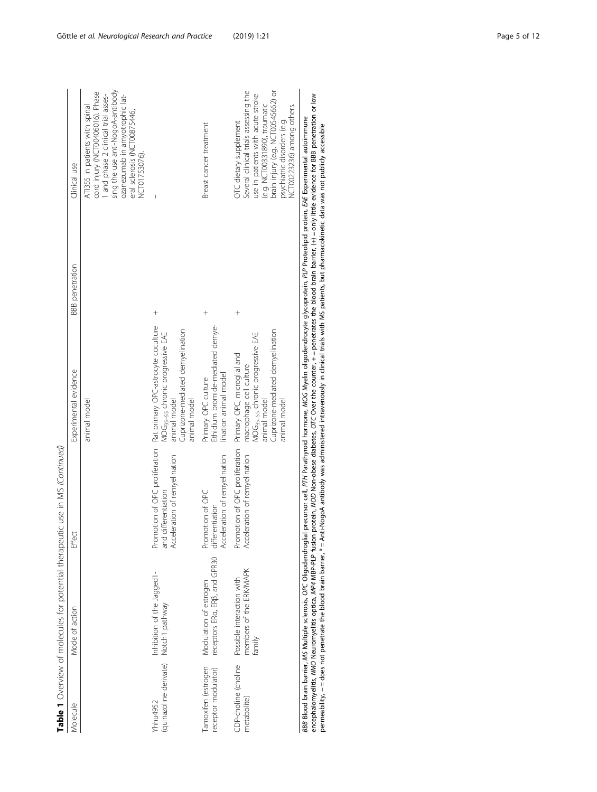|                                            |                                                                                     | Table 1 Overview of molecules for potential therapeutic use in MS (Continued) |                                                                                                                                                                                                                                                                                                                                                                                                                                                                                                                                                                                     |                        |                                                                                                                                                                                                                                          |
|--------------------------------------------|-------------------------------------------------------------------------------------|-------------------------------------------------------------------------------|-------------------------------------------------------------------------------------------------------------------------------------------------------------------------------------------------------------------------------------------------------------------------------------------------------------------------------------------------------------------------------------------------------------------------------------------------------------------------------------------------------------------------------------------------------------------------------------|------------------------|------------------------------------------------------------------------------------------------------------------------------------------------------------------------------------------------------------------------------------------|
| Molecule                                   | Mode of action                                                                      | Effect                                                                        | Experimental evidence                                                                                                                                                                                                                                                                                                                                                                                                                                                                                                                                                               | <b>BBB</b> penetration | Clinical use                                                                                                                                                                                                                             |
|                                            |                                                                                     |                                                                               | animal model                                                                                                                                                                                                                                                                                                                                                                                                                                                                                                                                                                        |                        | sing the use anti-NogoA-antibody<br>cord injury (NCT06016). Phase<br>ozanezumab in amyotrophic lat-<br>1 and phase 2 clinical trial asses-<br>ATI355 in patients with spinal<br>eral sclerosis (NCT00875446,<br>NCT01753076).            |
| (quinazoline derivate)<br><b>Yhhu4952</b>  | Inhibition of the Jagged1-<br>Notch1 pathway                                        | Acceleration of remyelination<br>and differentiation                          | Promotion of OPC proliferation Rat primary OPC-astrocyte coculture<br>Cuprizone-mediated demyelination<br>MOG <sub>35-55</sub> chronic progressive EAE<br>animal model<br>animal model                                                                                                                                                                                                                                                                                                                                                                                              | $^{+}$                 |                                                                                                                                                                                                                                          |
| Tamoxifen (estrogen<br>receptor modulator) | receptors ERa, ERB, and GPR30<br>Modulation of estrogen                             | Acceleration of remyelination<br>Promotion of OPC<br>differentiation          | Ethidium bromide-mediated demye-<br>lination animal model<br>Primary OPC culture                                                                                                                                                                                                                                                                                                                                                                                                                                                                                                    | $^{+}$                 | Breast cancer treatment                                                                                                                                                                                                                  |
| metabolite)                                | members of the ERK/MAPK<br>CDP-choline (choline Possible interaction with<br>family | Promotion of OPC proliferation<br>Acceleration of remyelination               | Cuprizone-mediated demyelination<br>MOG <sub>35-55</sub> chronic progressive EAE<br>Primary OPC, microglial and<br>macrophage cell culture<br>animal model<br>animal model                                                                                                                                                                                                                                                                                                                                                                                                          | $\ddot{\phantom{1}}$   | brain injury (e.g. NCT00545662) or<br>Several clinical trials assessing the<br>use in patients with acute stroke<br>(e.g. NCT00331890), traumatic<br>NCT00223236) among others.<br>psychiatric disorders (e.g.<br>OTC dietary supplement |
|                                            | BBB Blood brain barrier, MS Multiple sclerosis, OPC Oligodendrogli                  |                                                                               | encephalomyelitis, MMO Neuromyelitis optica, MBP4 MBP-PLP fusion protein, MOD Non-obese diabetes, OTC Over the counter, += penetrates the blood brain barrier, (+) = only little evidence for BBB penetration or low<br>al precursor cell, PTH Parathyroid hormone, MOG Myelin oligodendrocyte glycoprotein, PLP Proteolipid protein, EAE Experimental autoimmune<br>permeability, – = does not penetrate the blood brain barrier, * = Anti-NogoA antibody was administered intravenously in clinical trials with MS patients, but pharmacokinetic data was not publicly accessible |                        |                                                                                                                                                                                                                                          |

Göttle et al. Neurological Research and Practice (2019) 1:21 **Page 5 of 12** Page 5 of 12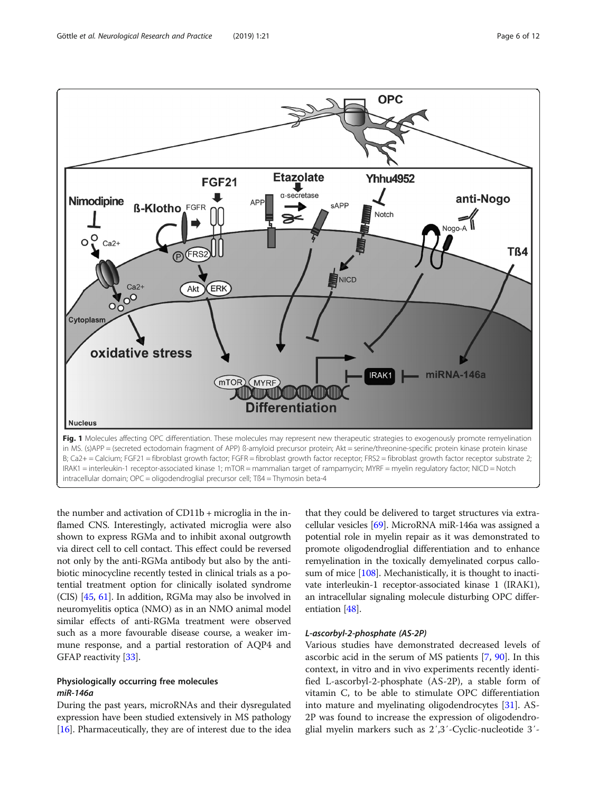<span id="page-5-0"></span>

the number and activation of CD11b + microglia in the inflamed CNS. Interestingly, activated microglia were also shown to express RGMa and to inhibit axonal outgrowth via direct cell to cell contact. This effect could be reversed not only by the anti-RGMa antibody but also by the antibiotic minocycline recently tested in clinical trials as a potential treatment option for clinically isolated syndrome (CIS) [[45](#page-9-0), [61](#page-10-0)]. In addition, RGMa may also be involved in neuromyelitis optica (NMO) as in an NMO animal model similar effects of anti-RGMa treatment were observed such as a more favourable disease course, a weaker immune response, and a partial restoration of AQP4 and GFAP reactivity [\[33](#page-9-0)].

# Physiologically occurring free molecules miR-146a

During the past years, microRNAs and their dysregulated expression have been studied extensively in MS pathology [[16](#page-9-0)]. Pharmaceutically, they are of interest due to the idea that they could be delivered to target structures via extracellular vesicles [[69\]](#page-10-0). MicroRNA miR-146a was assigned a potential role in myelin repair as it was demonstrated to promote oligodendroglial differentiation and to enhance remyelination in the toxically demyelinated corpus callo-sum of mice [[108\]](#page-11-0). Mechanistically, it is thought to inactivate interleukin-1 receptor-associated kinase 1 (IRAK1), an intracellular signaling molecule disturbing OPC differentiation [[48](#page-9-0)].

# L-ascorbyl-2-phosphate (AS-2P)

Various studies have demonstrated decreased levels of ascorbic acid in the serum of MS patients [\[7](#page-8-0), [90](#page-10-0)]. In this context, in vitro and in vivo experiments recently identified L-ascorbyl-2-phosphate (AS-2P), a stable form of vitamin C, to be able to stimulate OPC differentiation into mature and myelinating oligodendrocytes [[31\]](#page-9-0). AS-2P was found to increase the expression of oligodendroglial myelin markers such as 2′,3′-Cyclic-nucleotide 3′-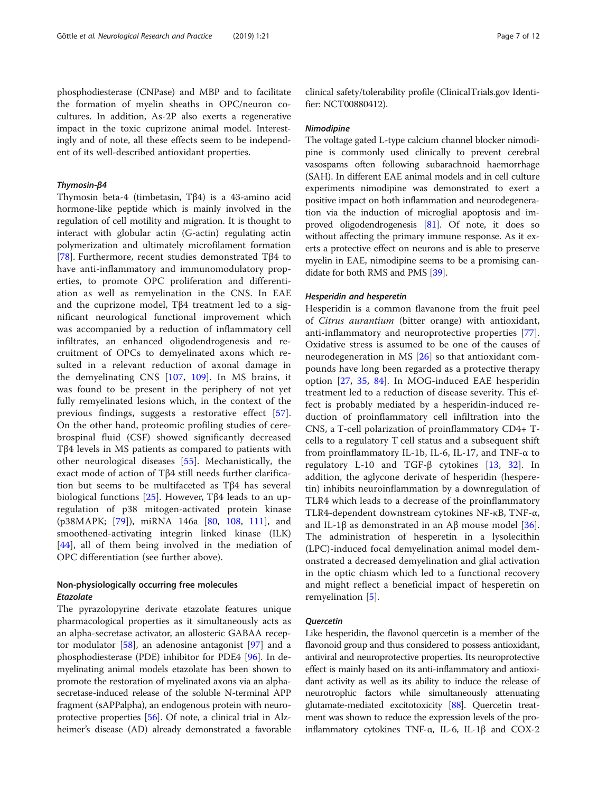phosphodiesterase (CNPase) and MBP and to facilitate the formation of myelin sheaths in OPC/neuron cocultures. In addition, As-2P also exerts a regenerative impact in the toxic cuprizone animal model. Interestingly and of note, all these effects seem to be independent of its well-described antioxidant properties.

# Thymosin-β4

Thymosin beta-4 (timbetasin, Tβ4) is a 43-amino acid hormone-like peptide which is mainly involved in the regulation of cell motility and migration. It is thought to interact with globular actin (G-actin) regulating actin polymerization and ultimately microfilament formation [[78\]](#page-10-0). Furthermore, recent studies demonstrated Tβ4 to have anti-inflammatory and immunomodulatory properties, to promote OPC proliferation and differentiation as well as remyelination in the CNS. In EAE and the cuprizone model, Tβ4 treatment led to a significant neurological functional improvement which was accompanied by a reduction of inflammatory cell infiltrates, an enhanced oligodendrogenesis and recruitment of OPCs to demyelinated axons which resulted in a relevant reduction of axonal damage in the demyelinating CNS [[107,](#page-11-0) [109\]](#page-11-0). In MS brains, it was found to be present in the periphery of not yet fully remyelinated lesions which, in the context of the previous findings, suggests a restorative effect [\[57](#page-10-0)]. On the other hand, proteomic profiling studies of cerebrospinal fluid (CSF) showed significantly decreased Tβ4 levels in MS patients as compared to patients with other neurological diseases [[55\]](#page-10-0). Mechanistically, the exact mode of action of Tβ4 still needs further clarification but seems to be multifaceted as Tβ4 has several biological functions [ $25$ ]. However, Tβ4 leads to an upregulation of p38 mitogen-activated protein kinase (p38MAPK; [[79\]](#page-10-0)), miRNA 146a [[80](#page-10-0), [108](#page-11-0), [111\]](#page-11-0), and smoothened-activating integrin linked kinase (ILK) [[44\]](#page-9-0), all of them being involved in the mediation of OPC differentiation (see further above).

# Non-physiologically occurring free molecules Etazolate

The pyrazolopyrine derivate etazolate features unique pharmacological properties as it simultaneously acts as an alpha-secretase activator, an allosteric GABAA receptor modulator [[58\]](#page-10-0), an adenosine antagonist [[97\]](#page-11-0) and a phosphodiesterase (PDE) inhibitor for PDE4 [\[96](#page-11-0)]. In demyelinating animal models etazolate has been shown to promote the restoration of myelinated axons via an alphasecretase-induced release of the soluble N-terminal APP fragment (sAPPalpha), an endogenous protein with neuroprotective properties [\[56\]](#page-10-0). Of note, a clinical trial in Alzheimer's disease (AD) already demonstrated a favorable

clinical safety/tolerability profile (ClinicalTrials.gov Identifier: NCT00880412).

# Nimodipine

The voltage gated L-type calcium channel blocker nimodipine is commonly used clinically to prevent cerebral vasospams often following subarachnoid haemorrhage (SAH). In different EAE animal models and in cell culture experiments nimodipine was demonstrated to exert a positive impact on both inflammation and neurodegeneration via the induction of microglial apoptosis and improved oligodendrogenesis [\[81\]](#page-10-0). Of note, it does so without affecting the primary immune response. As it exerts a protective effect on neurons and is able to preserve myelin in EAE, nimodipine seems to be a promising candidate for both RMS and PMS [[39](#page-9-0)].

# Hesperidin and hesperetin

Hesperidin is a common flavanone from the fruit peel of Citrus aurantium (bitter orange) with antioxidant, anti-inflammatory and neuroprotective properties [\[77](#page-10-0)]. Oxidative stress is assumed to be one of the causes of neurodegeneration in MS [\[26](#page-9-0)] so that antioxidant compounds have long been regarded as a protective therapy option [[27,](#page-9-0) [35](#page-9-0), [84](#page-10-0)]. In MOG-induced EAE hesperidin treatment led to a reduction of disease severity. This effect is probably mediated by a hesperidin-induced reduction of proinflammatory cell infiltration into the CNS, a T-cell polarization of proinflammatory CD4+ Tcells to a regulatory T cell status and a subsequent shift from proinflammatory IL-1b, IL-6, IL-17, and TNF-α to regulatory L-10 and TGF-β cytokines [[13,](#page-8-0) [32](#page-9-0)]. In addition, the aglycone derivate of hesperidin (hesperetin) inhibits neuroinflammation by a downregulation of TLR4 which leads to a decrease of the proinflammatory TLR4-dependent downstream cytokines NF-κB, TNF-α, and IL-1β as demonstrated in an Aβ mouse model [\[36](#page-9-0)]. The administration of hesperetin in a lysolecithin (LPC)-induced focal demyelination animal model demonstrated a decreased demyelination and glial activation in the optic chiasm which led to a functional recovery and might reflect a beneficial impact of hesperetin on remyelination [\[5](#page-8-0)].

# **Quercetin**

Like hesperidin, the flavonol quercetin is a member of the flavonoid group and thus considered to possess antioxidant, antiviral and neuroprotective properties. Its neuroprotective effect is mainly based on its anti-inflammatory and antioxidant activity as well as its ability to induce the release of neurotrophic factors while simultaneously attenuating glutamate-mediated excitotoxicity [[88](#page-10-0)]. Quercetin treatment was shown to reduce the expression levels of the proinflammatory cytokines TNF- $\alpha$ , IL-6, IL-1β and COX-2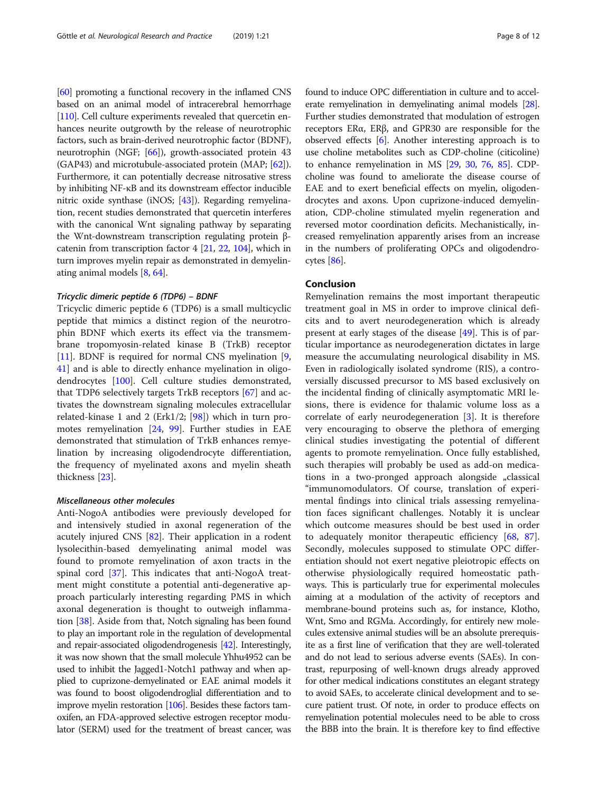[[60](#page-10-0)] promoting a functional recovery in the inflamed CNS based on an animal model of intracerebral hemorrhage [[110\]](#page-11-0). Cell culture experiments revealed that quercetin enhances neurite outgrowth by the release of neurotrophic factors, such as brain-derived neurotrophic factor (BDNF), neurotrophin (NGF; [\[66](#page-10-0)]), growth-associated protein 43 (GAP43) and microtubule-associated protein (MAP; [[62](#page-10-0)]). Furthermore, it can potentially decrease nitrosative stress by inhibiting NF-κB and its downstream effector inducible nitric oxide synthase (iNOS; [\[43\]](#page-9-0)). Regarding remyelination, recent studies demonstrated that quercetin interferes with the canonical Wnt signaling pathway by separating the Wnt-downstream transcription regulating protein βcatenin from transcription factor 4 [\[21,](#page-9-0) [22,](#page-9-0) [104](#page-11-0)], which in turn improves myelin repair as demonstrated in demyelinating animal models [\[8,](#page-8-0) [64](#page-10-0)].

# Tricyclic dimeric peptide 6 (TDP6) – BDNF

Tricyclic dimeric peptide 6 (TDP6) is a small multicyclic peptide that mimics a distinct region of the neurotrophin BDNF which exerts its effect via the transmembrane tropomyosin-related kinase B (TrkB) receptor [[11\]](#page-8-0). BDNF is required for normal CNS myelination [[9](#page-8-0), [41\]](#page-9-0) and is able to directly enhance myelination in oligodendrocytes [\[100\]](#page-11-0). Cell culture studies demonstrated, that TDP6 selectively targets TrkB receptors [[67](#page-10-0)] and activates the downstream signaling molecules extracellular related-kinase 1 and 2 (Erk $1/2$ ; [\[98](#page-11-0)]) which in turn promotes remyelination [\[24](#page-9-0), [99\]](#page-11-0). Further studies in EAE demonstrated that stimulation of TrkB enhances remyelination by increasing oligodendrocyte differentiation, the frequency of myelinated axons and myelin sheath thickness [[23](#page-9-0)].

# Miscellaneous other molecules

Anti-NogoA antibodies were previously developed for and intensively studied in axonal regeneration of the acutely injured CNS [[82\]](#page-10-0). Their application in a rodent lysolecithin-based demyelinating animal model was found to promote remyelination of axon tracts in the spinal cord [\[37](#page-9-0)]. This indicates that anti-NogoA treatment might constitute a potential anti-degenerative approach particularly interesting regarding PMS in which axonal degeneration is thought to outweigh inflammation [\[38\]](#page-9-0). Aside from that, Notch signaling has been found to play an important role in the regulation of developmental and repair-associated oligodendrogenesis [\[42](#page-9-0)]. Interestingly, it was now shown that the small molecule Yhhu4952 can be used to inhibit the Jagged1-Notch1 pathway and when applied to cuprizone-demyelinated or EAE animal models it was found to boost oligodendroglial differentiation and to improve myelin restoration  $[106]$ . Besides these factors tamoxifen, an FDA-approved selective estrogen receptor modulator (SERM) used for the treatment of breast cancer, was

found to induce OPC differentiation in culture and to accelerate remyelination in demyelinating animal models [\[28](#page-9-0)]. Further studies demonstrated that modulation of estrogen receptors ERα, ERβ, and GPR30 are responsible for the observed effects [\[6](#page-8-0)]. Another interesting approach is to use choline metabolites such as CDP-choline (citicoline) to enhance remyelination in MS [\[29,](#page-9-0) [30](#page-9-0), [76](#page-10-0), [85](#page-10-0)]. CDPcholine was found to ameliorate the disease course of EAE and to exert beneficial effects on myelin, oligodendrocytes and axons. Upon cuprizone-induced demyelination, CDP-choline stimulated myelin regeneration and reversed motor coordination deficits. Mechanistically, increased remyelination apparently arises from an increase in the numbers of proliferating OPCs and oligodendrocytes [\[86\]](#page-10-0).

# Conclusion

Remyelination remains the most important therapeutic treatment goal in MS in order to improve clinical deficits and to avert neurodegeneration which is already present at early stages of the disease [\[49](#page-9-0)]. This is of particular importance as neurodegeneration dictates in large measure the accumulating neurological disability in MS. Even in radiologically isolated syndrome (RIS), a controversially discussed precursor to MS based exclusively on the incidental finding of clinically asymptomatic MRI lesions, there is evidence for thalamic volume loss as a correlate of early neurodegeneration  $[3]$  $[3]$ . It is therefore very encouraging to observe the plethora of emerging clinical studies investigating the potential of different agents to promote remyelination. Once fully established, such therapies will probably be used as add-on medications in a two-pronged approach alongside "classical "immunomodulators. Of course, translation of experimental findings into clinical trials assessing remyelination faces significant challenges. Notably it is unclear which outcome measures should be best used in order to adequately monitor therapeutic efficiency [[68,](#page-10-0) [87](#page-10-0)]. Secondly, molecules supposed to stimulate OPC differentiation should not exert negative pleiotropic effects on otherwise physiologically required homeostatic pathways. This is particularly true for experimental molecules aiming at a modulation of the activity of receptors and membrane-bound proteins such as, for instance, Klotho, Wnt, Smo and RGMa. Accordingly, for entirely new molecules extensive animal studies will be an absolute prerequisite as a first line of verification that they are well-tolerated and do not lead to serious adverse events (SAEs). In contrast, repurposing of well-known drugs already approved for other medical indications constitutes an elegant strategy to avoid SAEs, to accelerate clinical development and to secure patient trust. Of note, in order to produce effects on remyelination potential molecules need to be able to cross the BBB into the brain. It is therefore key to find effective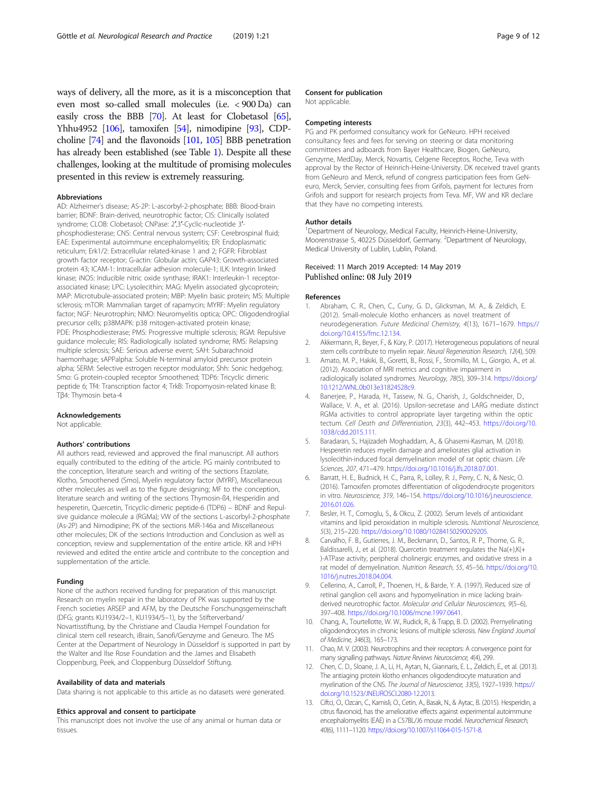<span id="page-8-0"></span>ways of delivery, all the more, as it is a misconception that even most so-called small molecules (i.e. < 900 Da) can easily cross the BBB [\[70](#page-10-0)]. At least for Clobetasol [\[65](#page-10-0)], Yhhu4952 [\[106](#page-11-0)], tamoxifen [\[54\]](#page-10-0), nimodipine [[93](#page-11-0)], CDPcholine [\[74\]](#page-10-0) and the flavonoids [[101,](#page-11-0) [105](#page-11-0)] BBB penetration has already been established (see Table [1\)](#page-2-0). Despite all these challenges, looking at the multitude of promising molecules presented in this review is extremely reassuring.

# Abbreviations

AD: Alzheimer's disease; AS-2P: L-ascorbyl-2-phosphate; BBB: Blood-brain barrier; BDNF: Brain-derived, neurotrophic factor; CIS: Clinically isolated syndrome; CLOB: Clobetasol; CNPase: 2′,3′-Cyclic-nucleotide 3′ phosphodiesterase; CNS: Central nervous system; CSF: Cerebrospinal fluid; EAE: Experimental autoimmune encephalomyelitis; ER: Endoplasmatic reticulum; Erk1/2: Extracellular related-kinase 1 and 2; FGFR: Fibroblast growth factor receptor; G-actin: Globular actin; GAP43: Growth-associated protein 43; ICAM-1: Intracellular adhesion molecule-1; ILK: Integrin linked kinase; iNOS: Inducible nitric oxide synthase; IRAK1: Interleukin-1 receptorassociated kinase; LPC: Lysolecithin; MAG: Myelin associated glycoprotein; MAP: Microtubule-associated protein; MBP: Myelin basic protein; MS: Multiple sclerosis; mTOR: Mammalian target of rapamycin; MYRF: Myelin regulatory factor; NGF: Neurotrophin; NMO: Neuromyelitis optica; OPC: Oligodendroglial precursor cells; p38MAPK: p38 mitogen-activated protein kinase; PDE: Phosphodiesterase; PMS: Progressive multiple sclerosis; RGM: Repulsive guidance molecule; RIS: Radiologically isolated syndrome; RMS: Relapsing multiple sclerosis; SAE: Serious adverse event; SAH: Subarachnoid haemorrhage; sAPPalpha: Soluble N-terminal amyloid precursor protein alpha; SERM: Selective estrogen receptor modulator; Shh: Sonic hedgehog; Smo: G protein-coupled receptor Smoothened; TDP6: Tricyclic dimeric peptide 6; Tf4: Transcription factor 4; TrkB: Tropomyosin-related kinase B; Tβ4: Thymosin beta-4

## Acknowledgements

Not applicable.

#### Authors' contributions

All authors read, reviewed and approved the final manuscript. All authors equally contributed to the editing of the article. PG mainly contributed to the conception, literature search and writing of the sections Etazolate, Klotho, Smoothened (Smo), Myelin regulatory factor (MYRF), Miscellaneous other molecules as well as to the figure designing; MF to the conception, literature search and writing of the sections Thymosin-ß4, Hesperidin and hesperetin, Quercetin, Tricyclic-dimeric peptide-6 (TDP6) – BDNF and Repulsive guidance molecule a (RGMa); VW of the sections L-ascorbyl-2-phosphate (As-2P) and Nimodipine; PK of the sections MiR-146a and Miscellaneous other molecules; DK of the sections Introduction and Conclusion as well as conception, review and supplementation of the entire article. KR and HPH reviewed and edited the entire article and contribute to the conception and supplementation of the article.

# Funding

None of the authors received funding for preparation of this manuscript. Research on myelin repair in the laboratory of PK was supported by the French societies ARSEP and AFM, by the Deutsche Forschungsgemeinschaft (DFG; grants KU1934/2–1, KU1934/5–1), by the Stifterverband/ Novartisstiftung, by the Christiane and Claudia Hempel Foundation for clinical stem cell research, iBrain, Sanofi/Genzyme and Geneuro. The MS Center at the Department of Neurology in Düsseldorf is supported in part by the Walter and Ilse Rose Foundation and the James and Elisabeth Cloppenburg, Peek, and Cloppenburg Düsseldorf Stiftung.

## Availability of data and materials

Data sharing is not applicable to this article as no datasets were generated.

## Ethics approval and consent to participate

This manuscript does not involve the use of any animal or human data or tissues.

#### Consent for publication

Not applicable.

#### Competing interests

PG and PK performed consultancy work for GeNeuro. HPH received consultancy fees and fees for serving on steering or data monitoring committees and adboards from Bayer Healthcare, Biogen, GeNeuro, Genzyme, MedDay, Merck, Novartis, Celgene Receptos, Roche, Teva with approval by the Rector of Heinrich-Heine-University. DK received travel grants from GeNeuro and Merck, refund of congress participation fees from GeNeuro, Merck, Servier, consulting fees from Grifols, payment for lectures from Grifols and support for research projects from Teva. MF, VW and KR declare that they have no competing interests.

#### Author details

<sup>1</sup>Department of Neurology, Medical Faculty, Heinrich-Heine-University, Moorenstrasse 5, 40225 Düsseldorf, Germany. <sup>2</sup>Department of Neurology, Medical University of Lublin, Lublin, Poland.

# Received: 11 March 2019 Accepted: 14 May 2019 Published online: 08 July 2019

#### References

- 1. Abraham, C. R., Chen, C., Cuny, G. D., Glicksman, M. A., & Zeldich, E. (2012). Small-molecule klotho enhancers as novel treatment of neurodegeneration. Future Medicinal Chemistry, 4(13), 1671–1679. [https://](https://doi.org/10.4155/fmc.12.134) [doi.org/10.4155/fmc.12.134.](https://doi.org/10.4155/fmc.12.134)
- 2. Akkermann, R., Beyer, F., & Küry, P. (2017). Heterogeneous populations of neural stem cells contribute to myelin repair. Neural Regeneration Research, 12(4), 509.
- 3. Amato, M. P., Hakiki, B., Goretti, B., Rossi, F., Stromillo, M. L., Giorgio, A., et al. (2012). Association of MRI metrics and cognitive impairment in radiologically isolated syndromes. Neurology, 78(5), 309–314. [https://doi.org/](https://doi.org/10.1212/WNL.0b013e31824528c9) [10.1212/WNL.0b013e31824528c9](https://doi.org/10.1212/WNL.0b013e31824528c9).
- Banerjee, P., Harada, H., Tassew, N. G., Charish, J., Goldschneider, D., Wallace, V. A., et al. (2016). Upsilon-secretase and LARG mediate distinct RGMa activities to control appropriate layer targeting within the optic tectum. Cell Death and Differentiation, 23(3), 442–453. [https://doi.org/10.](https://doi.org/10.1038/cdd.2015.111) [1038/cdd.2015.111](https://doi.org/10.1038/cdd.2015.111).
- 5. Baradaran, S., Hajizadeh Moghaddam, A., & Ghasemi-Kasman, M. (2018). Hesperetin reduces myelin damage and ameliorates glial activation in lysolecithin-induced focal demyelination model of rat optic chiasm. Life Sciences, 207, 471–479. <https://doi.org/10.1016/j.lfs.2018.07.001>.
- 6. Barratt, H. E., Budnick, H. C., Parra, R., Lolley, R. J., Perry, C. N., & Nesic, O. (2016). Tamoxifen promotes differentiation of oligodendrocyte progenitors in vitro. Neuroscience, 319, 146–154. [https://doi.org/10.1016/j.neuroscience.](https://doi.org/10.1016/j.neuroscience.2016.01.026) [2016.01.026.](https://doi.org/10.1016/j.neuroscience.2016.01.026)
- 7. Besler, H. T., Comoglu, S., & Okcu, Z. (2002). Serum levels of antioxidant vitamins and lipid peroxidation in multiple sclerosis. Nutritional Neuroscience, 5(3), 215–220. <https://doi.org/10.1080/10284150290029205>.
- 8. Carvalho, F. B., Gutierres, J. M., Beckmann, D., Santos, R. P., Thome, G. R., Baldissarelli, J., et al. (2018). Quercetin treatment regulates the Na(+),K(+ )-ATPase activity, peripheral cholinergic enzymes, and oxidative stress in a rat model of demyelination. Nutrition Research, 55, 45–56. [https://doi.org/10.](https://doi.org/10.1016/j.nutres.2018.04.004) [1016/j.nutres.2018.04.004.](https://doi.org/10.1016/j.nutres.2018.04.004)
- 9. Cellerino, A., Carroll, P., Thoenen, H., & Barde, Y. A. (1997). Reduced size of retinal ganglion cell axons and hypomyelination in mice lacking brainderived neurotrophic factor. Molecular and Cellular Neurosciences, 9(5–6), 397–408. <https://doi.org/10.1006/mcne.1997.0641>.
- 10. Chang, A., Tourtellotte, W. W., Rudick, R., & Trapp, B. D. (2002). Premyelinating oligodendrocytes in chronic lesions of multiple sclerosis. New England Journal of Medicine, 346(3), 165–173.
- 11. Chao, M. V. (2003). Neurotrophins and their receptors: A convergence point for many signalling pathways. Nature Reviews Neuroscience, 4(4), 299.
- 12. Chen, C. D., Sloane, J. A., Li, H., Aytan, N., Giannaris, E. L., Zeldich, E., et al. (2013). The antiaging protein klotho enhances oligodendrocyte maturation and myelination of the CNS. The Journal of Neuroscience, 33(5), 1927–1939. [https://](https://doi.org/10.1523/JNEUROSCI.2080-12.2013) [doi.org/10.1523/JNEUROSCI.2080-12.2013](https://doi.org/10.1523/JNEUROSCI.2080-12.2013).
- 13. Ciftci, O., Ozcan, C., Kamisli, O., Cetin, A., Basak, N., & Aytac, B. (2015). Hesperidin, a citrus flavonoid, has the ameliorative effects against experimental autoimmune encephalomyelitis (EAE) in a C57BL/J6 mouse model. Neurochemical Research, 40(6), 1111–1120. <https://doi.org/10.1007/s11064-015-1571-8>.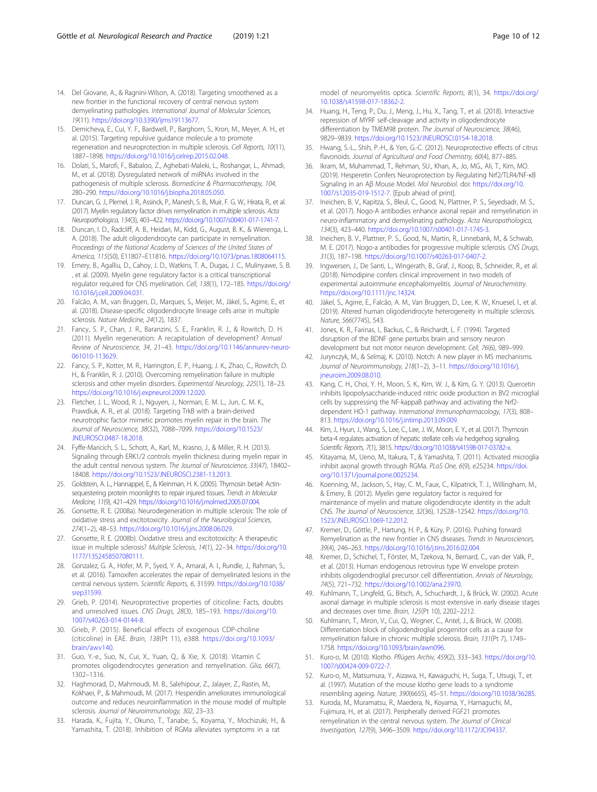- <span id="page-9-0"></span>14. Del Giovane, A., & Ragnini-Wilson, A. (2018). Targeting smoothened as a new frontier in the functional recovery of central nervous system demyelinating pathologies. International Journal of Molecular Sciences, 19(11). [https://doi.org/10.3390/ijms19113677.](https://doi.org/10.3390/ijms19113677)
- 15. Demicheva, E., Cui, Y. F., Bardwell, P., Barghorn, S., Kron, M., Meyer, A. H., et al. (2015). Targeting repulsive guidance molecule a to promote regeneration and neuroprotection in multiple sclerosis. Cell Reports, 10(11), 1887–1898. <https://doi.org/10.1016/j.celrep.2015.02.048>.
- 16. Dolati, S., Marofi, F., Babaloo, Z., Aghebati-Maleki, L., Roshangar, L., Ahmadi, M., et al. (2018). Dysregulated network of miRNAs involved in the pathogenesis of multiple sclerosis. Biomedicine & Pharmacotherapy, 104, 280–290. <https://doi.org/10.1016/j.biopha.2018.05.050>.
- 17. Duncan, G. J., Plemel, J. R., Assinck, P., Manesh, S. B., Muir, F. G. W., Hirata, R., et al. (2017). Myelin regulatory factor drives remyelination in multiple sclerosis. Acta Neuropathologica, 134(3), 403–422. [https://doi.org/10.1007/s00401-017-1741-7.](https://doi.org/10.1007/s00401-017-1741-7)
- 18. Duncan, I. D., Radcliff, A. B., Heidari, M., Kidd, G., August, B. K., & Wierenga, L. A. (2018). The adult oligodendrocyte can participate in remyelination. Proceedings of the National Academy of Sciences of the United States of America, 115(50), E11807–E11816. <https://doi.org/10.1073/pnas.1808064115>.
- 19. Emery, B., Agalliu, D., Cahoy, J. D., Watkins, T. A., Dugas, J. C., Mulinyawe, S. B. , et al. (2009). Myelin gene regulatory factor is a critical transcriptional regulator required for CNS myelination. Cell, 138(1), 172–185. [https://doi.org/](https://doi.org/10.1016/j.cell.2009.04.031) [10.1016/j.cell.2009.04.031](https://doi.org/10.1016/j.cell.2009.04.031).
- 20. Falcão, A. M., van Bruggen, D., Marques, S., Meijer, M., Jäkel, S., Agirre, E., et al. (2018). Disease-specific oligodendrocyte lineage cells arise in multiple sclerosis. Nature Medicine, 24(12), 1837.
- 21. Fancy, S. P., Chan, J. R., Baranzini, S. E., Franklin, R. J., & Rowitch, D. H. (2011). Myelin regeneration: A recapitulation of development? Annual Review of Neuroscience, 34, 21–43. [https://doi.org/10.1146/annurev-neuro-](https://doi.org/10.1146/annurev-neuro-061010-113629)[061010-113629.](https://doi.org/10.1146/annurev-neuro-061010-113629)
- 22. Fancy, S. P., Kotter, M. R., Harrington, E. P., Huang, J. K., Zhao, C., Rowitch, D. H., & Franklin, R. J. (2010). Overcoming remyelination failure in multiple sclerosis and other myelin disorders. Experimental Neurology, 225(1), 18–23. <https://doi.org/10.1016/j.expneurol.2009.12.020>.
- 23. Fletcher, J. L., Wood, R. J., Nguyen, J., Norman, E. M. L., Jun, C. M. K., Prawdiuk, A. R., et al. (2018). Targeting TrkB with a brain-derived neurotrophic factor mimetic promotes myelin repair in the brain. The Journal of Neuroscience, 38(32), 7088–7099. [https://doi.org/10.1523/](https://doi.org/10.1523/JNEUROSCI.0487-18.2018) [JNEUROSCI.0487-18.2018](https://doi.org/10.1523/JNEUROSCI.0487-18.2018).
- 24. Fyffe-Maricich, S. L., Schott, A., Karl, M., Krasno, J., & Miller, R. H. (2013). Signaling through ERK1/2 controls myelin thickness during myelin repair in the adult central nervous system. The Journal of Neuroscience, 33(47), 18402-18408. [https://doi.org/10.1523/JNEUROSCI.2381-13.2013.](https://doi.org/10.1523/JNEUROSCI.2381-13.2013)
- 25. Goldstein, A. L., Hannappel, E., & Kleinman, H. K. (2005). Thymosin beta4: Actinsequestering protein moonlights to repair injured tissues. Trends in Molecular Medicine, 11(9), 421–429. <https://doi.org/10.1016/j.molmed.2005.07.004>.
- 26. Gonsette, R. E. (2008a). Neurodegeneration in multiple sclerosis: The role of oxidative stress and excitotoxicity. Journal of the Neurological Sciences, 274(1–2), 48–53. <https://doi.org/10.1016/j.jns.2008.06.029>.
- 27. Gonsette, R. E. (2008b). Oxidative stress and excitotoxicity: A therapeutic issue in multiple sclerosis? Multiple Sclerosis, 14(1), 22–34. [https://doi.org/10.](https://doi.org/10.1177/1352458507080111) [1177/1352458507080111](https://doi.org/10.1177/1352458507080111).
- 28. Gonzalez, G. A., Hofer, M. P., Syed, Y. A., Amaral, A. I., Rundle, J., Rahman, S., et al. (2016). Tamoxifen accelerates the repair of demyelinated lesions in the central nervous system. Scientific Reports, 6, 31599. [https://doi.org/10.1038/](https://doi.org/10.1038/srep31599) [srep31599.](https://doi.org/10.1038/srep31599)
- 29. Grieb, P. (2014). Neuroprotective properties of citicoline: Facts, doubts and unresolved issues. CNS Drugs, 28(3), 185–193. [https://doi.org/10.](https://doi.org/10.1007/s40263-014-0144-8) [1007/s40263-014-0144-8.](https://doi.org/10.1007/s40263-014-0144-8)
- 30. Grieb, P. (2015). Beneficial effects of exogenous CDP-choline (citicoline) in EAE. Brain, 138(Pt 11), e388. [https://doi.org/10.1093/](https://doi.org/10.1093/brain/awv140) [brain/awv140.](https://doi.org/10.1093/brain/awv140)
- 31. Guo, Y.-e., Suo, N., Cui, X., Yuan, Q., & Xie, X. (2018). Vitamin C promotes oligodendrocytes generation and remyelination. Glia, 66(7), 1302–1316.
- 32. Haghmorad, D., Mahmoudi, M. B., Salehipour, Z., Jalayer, Z., Rastin, M., Kokhaei, P., & Mahmoudi, M. (2017). Hesperidin ameliorates immunological outcome and reduces neuroinflammation in the mouse model of multiple sclerosis. Journal of Neuroimmunology, 302, 23–33.
- 33. Harada, K., Fujita, Y., Okuno, T., Tanabe, S., Koyama, Y., Mochizuki, H., & Yamashita, T. (2018). Inhibition of RGMa alleviates symptoms in a rat

model of neuromyelitis optica. Scientific Reports, 8(1), 34. [https://doi.org/](https://doi.org/10.1038/s41598-017-18362-2) [10.1038/s41598-017-18362-2.](https://doi.org/10.1038/s41598-017-18362-2)

- 34. Huang, H., Teng, P., Du, J., Meng, J., Hu, X., Tang, T., et al. (2018). Interactive repression of MYRF self-cleavage and activity in oligodendrocyte differentiation by TMEM98 protein. The Journal of Neuroscience, 38(46), 9829–9839. <https://doi.org/10.1523/JNEUROSCI.0154-18.2018>.
- 35. Hwang, S.-L., Shih, P.-H., & Yen, G.-C. (2012). Neuroprotective effects of citrus flavonoids. Journal of Agricultural and Food Chemistry, 60(4), 877-885.
- 36. Ikram, M., Muhammad, T., Rehman, SU., Khan, A., Jo, MG., Ali, T., Kim, MO. (2019). Hesperetin Confers Neuroprotection by Regulating Nrf2/TLR4/NF-κB Signaling in an Aβ Mouse Model. Mol Neurobiol. doi: [https://doi.org/10.](https://doi.org/10.1007/s12035-019-1512-7) [1007/s12035-019-1512-7](https://doi.org/10.1007/s12035-019-1512-7). [Epub ahead of print].
- 37. Ineichen, B. V., Kapitza, S., Bleul, C., Good, N., Plattner, P. S., Seyedsadr, M. S., et al. (2017). Nogo-A antibodies enhance axonal repair and remyelination in neuro-inflammatory and demyelinating pathology. Acta Neuropathologica, 134(3), 423–440. [https://doi.org/10.1007/s00401-017-1745-3.](https://doi.org/10.1007/s00401-017-1745-3)
- 38. Ineichen, B. V., Plattner, P. S., Good, N., Martin, R., Linnebank, M., & Schwab, M. E. (2017). Nogo-a antibodies for progressive multiple sclerosis. CNS Drugs, 31(3), 187–198. <https://doi.org/10.1007/s40263-017-0407-2>.
- 39. Ingwersen, J., De Santi, L., Wingerath, B., Graf, J., Koop, B., Schneider, R., et al. (2018). Nimodipine confers clinical improvement in two models of experimental autoimmune encephalomyelitis. Journal of Neurochemistry. [https://doi.org/10.1111/jnc.14324.](https://doi.org/10.1111/jnc.14324)
- 40. Jäkel, S., Agirre, E., Falcão, A. M., Van Bruggen, D., Lee, K. W., Knuesel, I., et al. (2019). Altered human oligodendrocyte heterogeneity in multiple sclerosis. Nature, 566(7745), 543.
- 41. Jones, K. R., Farinas, I., Backus, C., & Reichardt, L. F. (1994). Targeted disruption of the BDNF gene perturbs brain and sensory neuron development but not motor neuron development. Cell, 76(6), 989–999.
- 42. Jurynczyk, M., & Selmaj, K. (2010). Notch: A new player in MS mechanisms. Journal of Neuroimmunology, 218(1–2), 3–11. [https://doi.org/10.1016/j.](https://doi.org/10.1016/j.jneuroim.2009.08.010) [jneuroim.2009.08.010.](https://doi.org/10.1016/j.jneuroim.2009.08.010)
- 43. Kang, C. H., Choi, Y. H., Moon, S. K., Kim, W. J., & Kim, G. Y. (2013). Quercetin inhibits lipopolysaccharide-induced nitric oxide production in BV2 microglial cells by suppressing the NF-kappaB pathway and activating the Nrf2 dependent HO-1 pathway. International Immunopharmacology, 17(3), 808– 813. [https://doi.org/10.1016/j.intimp.2013.09.009.](https://doi.org/10.1016/j.intimp.2013.09.009)
- 44. Kim, J., Hyun, J., Wang, S., Lee, C., Lee, J. W., Moon, E. Y., et al. (2017). Thymosin beta-4 regulates activation of hepatic stellate cells via hedgehog signaling. Scientific Reports, 7(1), 3815. <https://doi.org/10.1038/s41598-017-03782-x>.
- 45. Kitayama, M., Ueno, M., Itakura, T., & Yamashita, T. (2011). Activated microglia inhibit axonal growth through RGMa. PLoS One, 6(9), e25234. [https://doi.](https://doi.org/10.1371/journal.pone.0025234) [org/10.1371/journal.pone.0025234.](https://doi.org/10.1371/journal.pone.0025234)
- 46. Koenning, M., Jackson, S., Hay, C. M., Faux, C., Kilpatrick, T. J., Willingham, M., & Emery, B. (2012). Myelin gene regulatory factor is required for maintenance of myelin and mature oligodendrocyte identity in the adult CNS. The Journal of Neuroscience, 32(36), 12528–12542. [https://doi.org/10.](https://doi.org/10.1523/JNEUROSCI.1069-12.2012) [1523/JNEUROSCI.1069-12.2012](https://doi.org/10.1523/JNEUROSCI.1069-12.2012).
- 47. Kremer, D., Göttle, P., Hartung, H. P., & Küry, P. (2016). Pushing forward: Remyelination as the new frontier in CNS diseases. Trends in Neurosciences, 39(4), 246–263. <https://doi.org/10.1016/j.tins.2016.02.004>.
- 48. Kremer, D., Schichel, T., Förster, M., Tzekova, N., Bernard, C., van der Valk, P., et al. (2013). Human endogenous retrovirus type W envelope protein inhibits oligodendroglial precursor cell differentiation. Annals of Neurology, 74(5), 721–732. [https://doi.org/10.1002/ana.23970.](https://doi.org/10.1002/ana.23970)
- 49. Kuhlmann, T., Lingfeld, G., Bitsch, A., Schuchardt, J., & Brück, W. (2002). Acute axonal damage in multiple sclerosis is most extensive in early disease stages and decreases over time. Brain, 125(Pt 10), 2202-2212.
- 50. Kuhlmann, T., Miron, V., Cui, Q., Wegner, C., Antel, J., & Brück, W. (2008). Differentiation block of oligodendroglial progenitor cells as a cause for remyelination failure in chronic multiple sclerosis. Brain, 131(Pt 7), 1749– 1758. <https://doi.org/10.1093/brain/awn096>.
- 51. Kuro-o, M. (2010). Klotho. Pflügers Archiv, 459(2), 333–343. [https://doi.org/10.](https://doi.org/10.1007/s00424-009-0722-7) [1007/s00424-009-0722-7](https://doi.org/10.1007/s00424-009-0722-7).
- 52. Kuro-o, M., Matsumura, Y., Aizawa, H., Kawaguchi, H., Suga, T., Utsugi, T., et al. (1997). Mutation of the mouse klotho gene leads to a syndrome resembling ageing. Nature, 390(6655), 45–51. [https://doi.org/10.1038/36285.](https://doi.org/10.1038/36285)
- 53. Kuroda, M., Muramatsu, R., Maedera, N., Koyama, Y., Hamaguchi, M., Fujimura, H., et al. (2017). Peripherally derived FGF21 promotes remyelination in the central nervous system. The Journal of Clinical Investigation, 127(9), 3496–3509. [https://doi.org/10.1172/JCI94337.](https://doi.org/10.1172/JCI94337)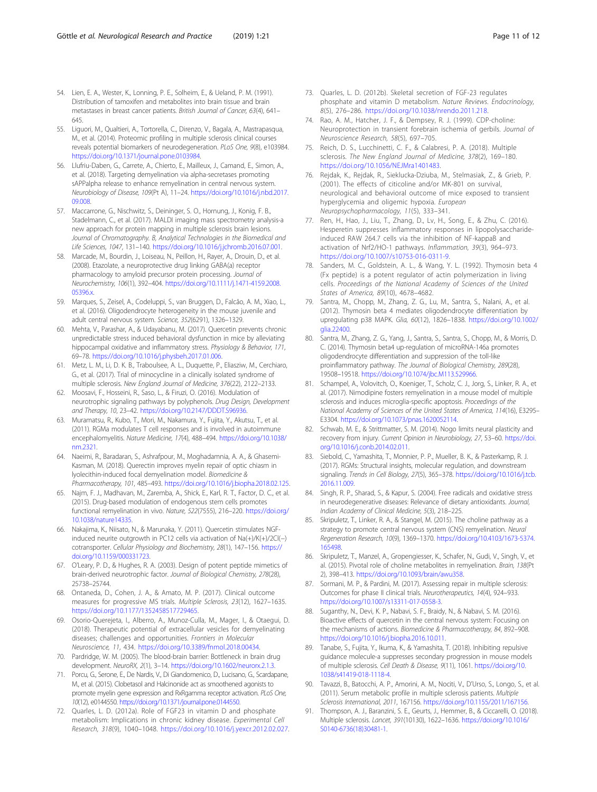- <span id="page-10-0"></span>54. Lien, E. A., Wester, K., Lonning, P. E., Solheim, E., & Ueland, P. M. (1991). Distribution of tamoxifen and metabolites into brain tissue and brain metastases in breast cancer patients. British Journal of Cancer, 63(4), 641– 645.
- 55. Liguori, M., Qualtieri, A., Tortorella, C., Direnzo, V., Bagala, A., Mastrapasqua, M., et al. (2014). Proteomic profiling in multiple sclerosis clinical courses reveals potential biomarkers of neurodegeneration. PLoS One, 9(8), e103984. [https://doi.org/10.1371/journal.pone.0103984.](https://doi.org/10.1371/journal.pone.0103984)
- 56. Llufriu-Daben, G., Carrete, A., Chierto, E., Mailleux, J., Camand, E., Simon, A., et al. (2018). Targeting demyelination via alpha-secretases promoting sAPPalpha release to enhance remyelination in central nervous system. Neurobiology of Disease, 109(Pt A), 11–24. [https://doi.org/10.1016/j.nbd.2017.](https://doi.org/10.1016/j.nbd.2017.09.008) [09.008.](https://doi.org/10.1016/j.nbd.2017.09.008)
- 57. Maccarrone, G., Nischwitz, S., Deininger, S. O., Hornung, J., Konig, F. B., Stadelmann, C., et al. (2017). MALDI imaging mass spectrometry analysis-a new approach for protein mapping in multiple sclerosis brain lesions. Journal of Chromatography. B, Analytical Technologies in the Biomedical and Life Sciences, 1047, 131–140. <https://doi.org/10.1016/j.jchromb.2016.07.001>.
- 58. Marcade, M., Bourdin, J., Loiseau, N., Peillon, H., Rayer, A., Drouin, D., et al. (2008). Etazolate, a neuroprotective drug linking GABA(a) receptor pharmacology to amyloid precursor protein processing. Journal of Neurochemistry, 106(1), 392–404. [https://doi.org/10.1111/j.1471-4159.2008.](https://doi.org/10.1111/j.1471-4159.2008.05396.x) [05396.x.](https://doi.org/10.1111/j.1471-4159.2008.05396.x)
- 59. Marques, S., Zeisel, A., Codeluppi, S., van Bruggen, D., Falcão, A. M., Xiao, L., et al. (2016). Oligodendrocyte heterogeneity in the mouse juvenile and adult central nervous system. Science, 352(6291), 1326–1329.
- 60. Mehta, V., Parashar, A., & Udayabanu, M. (2017). Quercetin prevents chronic unpredictable stress induced behavioral dysfunction in mice by alleviating hippocampal oxidative and inflammatory stress. Physiology & Behavior, 171, 69–78. [https://doi.org/10.1016/j.physbeh.2017.01.006.](https://doi.org/10.1016/j.physbeh.2017.01.006)
- 61. Metz, L. M., Li, D. K. B., Traboulsee, A. L., Duquette, P., Eliasziw, M., Cerchiaro, G., et al. (2017). Trial of minocycline in a clinically isolated syndrome of multiple sclerosis. New England Journal of Medicine, 376(22), 2122–2133.
- 62. Moosavi, F., Hosseini, R., Saso, L., & Firuzi, O. (2016). Modulation of neurotrophic signaling pathways by polyphenols. Drug Design, Development and Therapy, 10, 23–42. [https://doi.org/10.2147/DDDT.S96936.](https://doi.org/10.2147/DDDT.S96936)
- 63. Muramatsu, R., Kubo, T., Mori, M., Nakamura, Y., Fujita, Y., Akutsu, T., et al. (2011). RGMa modulates T cell responses and is involved in autoimmune encephalomyelitis. Nature Medicine, 17(4), 488–494. [https://doi.org/10.1038/](https://doi.org/10.1038/nm.2321) [nm.2321](https://doi.org/10.1038/nm.2321).
- 64. Naeimi, R., Baradaran, S., Ashrafpour, M., Moghadamnia, A. A., & Ghasemi-Kasman, M. (2018). Querectin improves myelin repair of optic chiasm in lyolecithin-induced focal demyelination model. Biomedicine & Pharmacotherapy, 101, 485–493. <https://doi.org/10.1016/j.biopha.2018.02.125>.
- 65. Najm, F. J., Madhavan, M., Zaremba, A., Shick, E., Karl, R. T., Factor, D. C., et al. (2015). Drug-based modulation of endogenous stem cells promotes functional remyelination in vivo. Nature, 522(7555), 216–220. [https://doi.org/](https://doi.org/10.1038/nature14335) [10.1038/nature14335](https://doi.org/10.1038/nature14335).
- 66. Nakajima, K., Niisato, N., & Marunaka, Y. (2011). Quercetin stimulates NGFinduced neurite outgrowth in PC12 cells via activation of Na(+)/K(+)/2Cl(−) cotransporter. Cellular Physiology and Biochemistry, 28(1), 147–156. [https://](https://doi.org/10.1159/000331723) [doi.org/10.1159/000331723.](https://doi.org/10.1159/000331723)
- 67. O'Leary, P. D., & Hughes, R. A. (2003). Design of potent peptide mimetics of brain-derived neurotrophic factor. Journal of Biological Chemistry, 278(28), 25738–25744.
- 68. Ontaneda, D., Cohen, J. A., & Amato, M. P. (2017). Clinical outcome measures for progressive MS trials. Multiple Sclerosis, 23(12), 1627–1635. <https://doi.org/10.1177/1352458517729465>.
- 69. Osorio-Querejeta, I., Alberro, A., Munoz-Culla, M., Mager, I., & Otaegui, D. (2018). Therapeutic potential of extracellular vesicles for demyelinating diseases; challenges and opportunities. Frontiers in Molecular Neuroscience, 11, 434. [https://doi.org/10.3389/fnmol.2018.00434.](https://doi.org/10.3389/fnmol.2018.00434)
- 70. Pardridge, W. M. (2005). The blood-brain barrier: Bottleneck in brain drug development. NeuroRX, 2(1), 3–14. [https://doi.org/10.1602/neurorx.2.1.3.](https://doi.org/10.1602/neurorx.2.1.3)
- 71. Porcu, G., Serone, E., De Nardis, V., Di Giandomenico, D., Lucisano, G., Scardapane, M., et al. (2015). Clobetasol and Halcinonide act as smoothened agonists to promote myelin gene expression and RxRgamma receptor activation. PLoS One, 10(12), e0144550. [https://doi.org/10.1371/journal.pone.0144550.](https://doi.org/10.1371/journal.pone.0144550)
- 72. Quarles, L. D. (2012a). Role of FGF23 in vitamin D and phosphate metabolism: Implications in chronic kidney disease. Experimental Cell Research, 318(9), 1040–1048. [https://doi.org/10.1016/j.yexcr.2012.02.027.](https://doi.org/10.1016/j.yexcr.2012.02.027)
- 73. Quarles, L. D. (2012b). Skeletal secretion of FGF-23 regulates phosphate and vitamin D metabolism. Nature Reviews. Endocrinology, 8(5), 276–286. <https://doi.org/10.1038/nrendo.2011.218>.
- 74. Rao, A. M., Hatcher, J. F., & Dempsey, R. J. (1999). CDP-choline: Neuroprotection in transient forebrain ischemia of gerbils. Journal of Neuroscience Research, 58(5), 697–705.
- 75. Reich, D. S., Lucchinetti, C. F., & Calabresi, P. A. (2018). Multiple sclerosis. The New England Journal of Medicine, 378(2), 169–180. [https://doi.org/10.1056/NEJMra1401483.](https://doi.org/10.1056/NEJMra1401483)
- 76. Rejdak, K., Rejdak, R., Sieklucka-Dziuba, M., Stelmasiak, Z., & Grieb, P. (2001). The effects of citicoline and/or MK-801 on survival, neurological and behavioral outcome of mice exposed to transient hyperglycemia and oligemic hypoxia. European Neuropsychopharmacology, 11(5), 333–341.
- 77. Ren, H., Hao, J., Liu, T., Zhang, D., Lv, H., Song, E., & Zhu, C. (2016). Hesperetin suppresses inflammatory responses in lipopolysaccharideinduced RAW 264.7 cells via the inhibition of NF-kappaB and activation of Nrf2/HO-1 pathways. Inflammation, 39(3), 964–973. [https://doi.org/10.1007/s10753-016-0311-9.](https://doi.org/10.1007/s10753-016-0311-9)
- 78. Sanders, M. C., Goldstein, A. L., & Wang, Y. L. (1992). Thymosin beta 4 (Fx peptide) is a potent regulator of actin polymerization in living cells. Proceedings of the National Academy of Sciences of the United States of America, 89(10), 4678–4682.
- 79. Santra, M., Chopp, M., Zhang, Z. G., Lu, M., Santra, S., Nalani, A., et al. (2012). Thymosin beta 4 mediates oligodendrocyte differentiation by upregulating p38 MAPK. Glia, 60(12), 1826–1838. [https://doi.org/10.1002/](https://doi.org/10.1002/glia.22400) [glia.22400.](https://doi.org/10.1002/glia.22400)
- 80. Santra, M., Zhang, Z. G., Yang, J., Santra, S., Santra, S., Chopp, M., & Morris, D. C. (2014). Thymosin beta4 up-regulation of microRNA-146a promotes oligodendrocyte differentiation and suppression of the toll-like proinflammatory pathway. The Journal of Biological Chemistry, 289(28), 19508–19518. [https://doi.org/10.1074/jbc.M113.529966.](https://doi.org/10.1074/jbc.M113.529966)
- 81. Schampel, A., Volovitch, O., Koeniger, T., Scholz, C. J., Jorg, S., Linker, R. A., et al. (2017). Nimodipine fosters remyelination in a mouse model of multiple sclerosis and induces microglia-specific apoptosis. Proceedings of the National Academy of Sciences of the United States of America, 114(16), E3295– E3304. [https://doi.org/10.1073/pnas.1620052114.](https://doi.org/10.1073/pnas.1620052114)
- 82. Schwab, M. E., & Strittmatter, S. M. (2014). Nogo limits neural plasticity and recovery from injury. Current Opinion in Neurobiology, 27, 53–60. [https://doi.](https://doi.org/10.1016/j.conb.2014.02.011) [org/10.1016/j.conb.2014.02.011.](https://doi.org/10.1016/j.conb.2014.02.011)
- 83. Siebold, C., Yamashita, T., Monnier, P. P., Mueller, B. K., & Pasterkamp, R. J. (2017). RGMs: Structural insights, molecular regulation, and downstream signaling. Trends in Cell Biology, 27(5), 365–378. [https://doi.org/10.1016/j.tcb.](https://doi.org/10.1016/j.tcb.2016.11.009) [2016.11.009.](https://doi.org/10.1016/j.tcb.2016.11.009)
- 84. Singh, R. P., Sharad, S., & Kapur, S. (2004). Free radicals and oxidative stress in neurodegenerative diseases: Relevance of dietary antioxidants. Journal, Indian Academy of Clinical Medicine, 5(3), 218–225.
- 85. Skripuletz, T., Linker, R. A., & Stangel, M. (2015). The choline pathway as a strategy to promote central nervous system (CNS) remyelination. Neural Regeneration Research, 10(9), 1369–1370. [https://doi.org/10.4103/1673-5374.](https://doi.org/10.4103/1673-5374.165498) [165498](https://doi.org/10.4103/1673-5374.165498).
- 86. Skripuletz, T., Manzel, A., Gropengiesser, K., Schafer, N., Gudi, V., Singh, V., et al. (2015). Pivotal role of choline metabolites in remyelination. Brain, 138(Pt 2), 398–413. <https://doi.org/10.1093/brain/awu358>.
- 87. Sormani, M. P., & Pardini, M. (2017). Assessing repair in multiple sclerosis: Outcomes for phase II clinical trials. Neurotherapeutics, 14(4), 924–933. <https://doi.org/10.1007/s13311-017-0558-3>.
- 88. Suganthy, N., Devi, K. P., Nabavi, S. F., Braidy, N., & Nabavi, S. M. (2016). Bioactive effects of quercetin in the central nervous system: Focusing on the mechanisms of actions. Biomedicine & Pharmacotherapy, 84, 892–908. [https://doi.org/10.1016/j.biopha.2016.10.011.](https://doi.org/10.1016/j.biopha.2016.10.011)
- 89. Tanabe, S., Fujita, Y., Ikuma, K., & Yamashita, T. (2018). Inhibiting repulsive guidance molecule-a suppresses secondary progression in mouse models of multiple sclerosis. Cell Death & Disease, 9(11), 1061. [https://doi.org/10.](https://doi.org/10.1038/s41419-018-1118-4) [1038/s41419-018-1118-4](https://doi.org/10.1038/s41419-018-1118-4).
- 90. Tavazzi, B., Batocchi, A. P., Amorini, A. M., Nociti, V., D'Urso, S., Longo, S., et al. (2011). Serum metabolic profile in multiple sclerosis patients. Multiple Sclerosis International, 2011, 167156. [https://doi.org/10.1155/2011/167156.](https://doi.org/10.1155/2011/167156)
- 91. Thompson, A. J., Baranzini, S. E., Geurts, J., Hemmer, B., & Ciccarelli, O. (2018). Multiple sclerosis. Lancet, 391(10130), 1622–1636. [https://doi.org/10.1016/](https://doi.org/10.1016/S0140-6736(18)30481-1) [S0140-6736\(18\)30481-1](https://doi.org/10.1016/S0140-6736(18)30481-1).